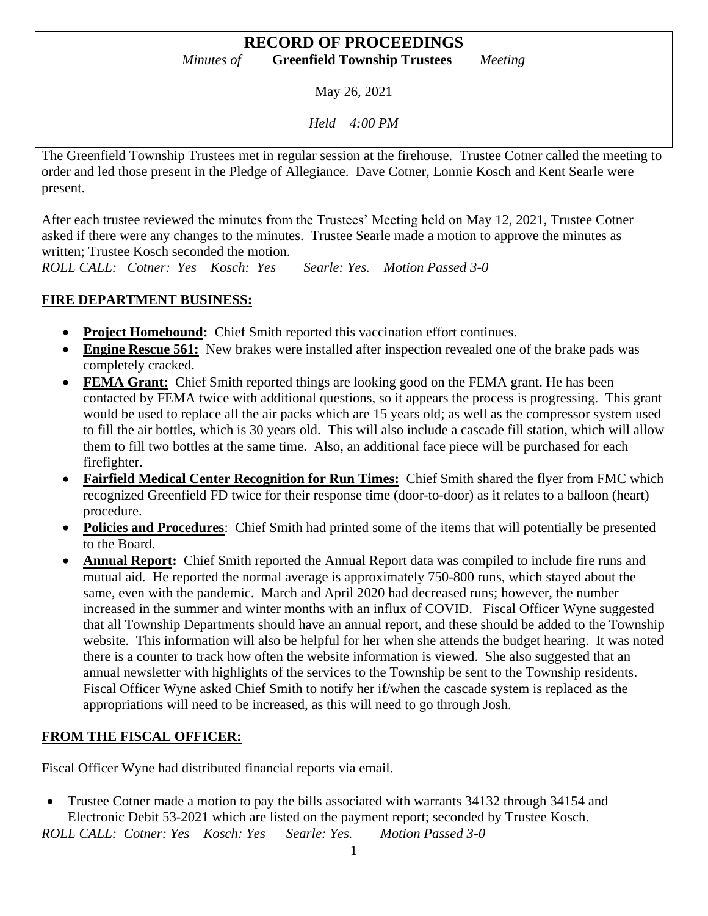### **RECORD OF PROCEEDINGS** *Minutes of* **Greenfield Township Trustees** *Meeting*

May 26, 2021

*Held 4:00 PM*

The Greenfield Township Trustees met in regular session at the firehouse. Trustee Cotner called the meeting to order and led those present in the Pledge of Allegiance. Dave Cotner, Lonnie Kosch and Kent Searle were present.

After each trustee reviewed the minutes from the Trustees' Meeting held on May 12, 2021, Trustee Cotner asked if there were any changes to the minutes. Trustee Searle made a motion to approve the minutes as written; Trustee Kosch seconded the motion.

*ROLL CALL: Cotner: Yes Kosch: Yes Searle: Yes. Motion Passed 3-0*

### **FIRE DEPARTMENT BUSINESS:**

- **Project Homebound:** Chief Smith reported this vaccination effort continues.
- **Engine Rescue 561:** New brakes were installed after inspection revealed one of the brake pads was completely cracked.
- **FEMA Grant:** Chief Smith reported things are looking good on the FEMA grant. He has been contacted by FEMA twice with additional questions, so it appears the process is progressing. This grant would be used to replace all the air packs which are 15 years old; as well as the compressor system used to fill the air bottles, which is 30 years old. This will also include a cascade fill station, which will allow them to fill two bottles at the same time. Also, an additional face piece will be purchased for each firefighter.
- **Fairfield Medical Center Recognition for Run Times:** Chief Smith shared the flyer from FMC which recognized Greenfield FD twice for their response time (door-to-door) as it relates to a balloon (heart) procedure.
- **Policies and Procedures**: Chief Smith had printed some of the items that will potentially be presented to the Board.
- **Annual Report:** Chief Smith reported the Annual Report data was compiled to include fire runs and mutual aid. He reported the normal average is approximately 750-800 runs, which stayed about the same, even with the pandemic. March and April 2020 had decreased runs; however, the number increased in the summer and winter months with an influx of COVID. Fiscal Officer Wyne suggested that all Township Departments should have an annual report, and these should be added to the Township website. This information will also be helpful for her when she attends the budget hearing. It was noted there is a counter to track how often the website information is viewed. She also suggested that an annual newsletter with highlights of the services to the Township be sent to the Township residents. Fiscal Officer Wyne asked Chief Smith to notify her if/when the cascade system is replaced as the appropriations will need to be increased, as this will need to go through Josh.

## **FROM THE FISCAL OFFICER:**

Fiscal Officer Wyne had distributed financial reports via email.

• Trustee Cotner made a motion to pay the bills associated with warrants 34132 through 34154 and Electronic Debit 53-2021 which are listed on the payment report; seconded by Trustee Kosch. *ROLL CALL: Cotner: Yes Kosch: Yes Searle: Yes. Motion Passed 3-0*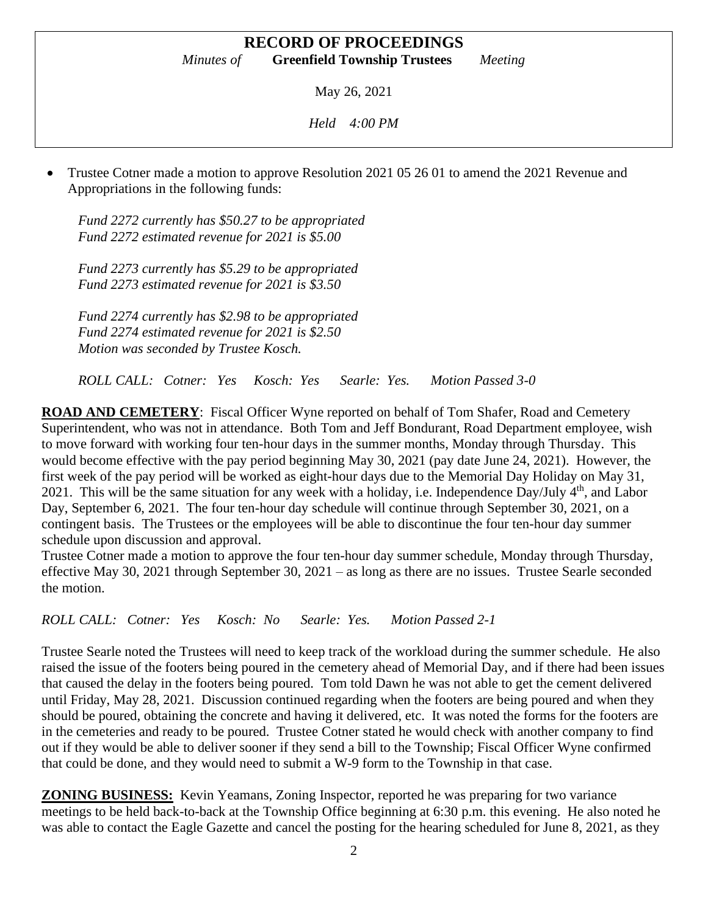# **RECORD OF PROCEEDINGS**

*Minutes of* **Greenfield Township Trustees** *Meeting*

May 26, 2021

*Held 4:00 PM*

• Trustee Cotner made a motion to approve Resolution 2021 05 26 01 to amend the 2021 Revenue and Appropriations in the following funds:

*Fund 2272 currently has \$50.27 to be appropriated Fund 2272 estimated revenue for 2021 is \$5.00*

*Fund 2273 currently has \$5.29 to be appropriated Fund 2273 estimated revenue for 2021 is \$3.50*

*Fund 2274 currently has \$2.98 to be appropriated Fund 2274 estimated revenue for 2021 is \$2.50 Motion was seconded by Trustee Kosch.*

*ROLL CALL: Cotner: Yes Kosch: Yes Searle: Yes. Motion Passed 3-0*

**ROAD AND CEMETERY**: Fiscal Officer Wyne reported on behalf of Tom Shafer, Road and Cemetery Superintendent, who was not in attendance. Both Tom and Jeff Bondurant, Road Department employee, wish to move forward with working four ten-hour days in the summer months, Monday through Thursday. This would become effective with the pay period beginning May 30, 2021 (pay date June 24, 2021). However, the first week of the pay period will be worked as eight-hour days due to the Memorial Day Holiday on May 31, 2021. This will be the same situation for any week with a holiday, i.e. Independence Day/July 4<sup>th</sup>, and Labor Day, September 6, 2021. The four ten-hour day schedule will continue through September 30, 2021, on a contingent basis. The Trustees or the employees will be able to discontinue the four ten-hour day summer schedule upon discussion and approval.

Trustee Cotner made a motion to approve the four ten-hour day summer schedule, Monday through Thursday, effective May 30, 2021 through September 30, 2021 – as long as there are no issues. Trustee Searle seconded the motion.

*ROLL CALL: Cotner: Yes Kosch: No Searle: Yes. Motion Passed 2-1*

Trustee Searle noted the Trustees will need to keep track of the workload during the summer schedule. He also raised the issue of the footers being poured in the cemetery ahead of Memorial Day, and if there had been issues that caused the delay in the footers being poured. Tom told Dawn he was not able to get the cement delivered until Friday, May 28, 2021. Discussion continued regarding when the footers are being poured and when they should be poured, obtaining the concrete and having it delivered, etc. It was noted the forms for the footers are in the cemeteries and ready to be poured. Trustee Cotner stated he would check with another company to find out if they would be able to deliver sooner if they send a bill to the Township; Fiscal Officer Wyne confirmed that could be done, and they would need to submit a W-9 form to the Township in that case.

**ZONING BUSINESS:** Kevin Yeamans, Zoning Inspector, reported he was preparing for two variance meetings to be held back-to-back at the Township Office beginning at 6:30 p.m. this evening. He also noted he was able to contact the Eagle Gazette and cancel the posting for the hearing scheduled for June 8, 2021, as they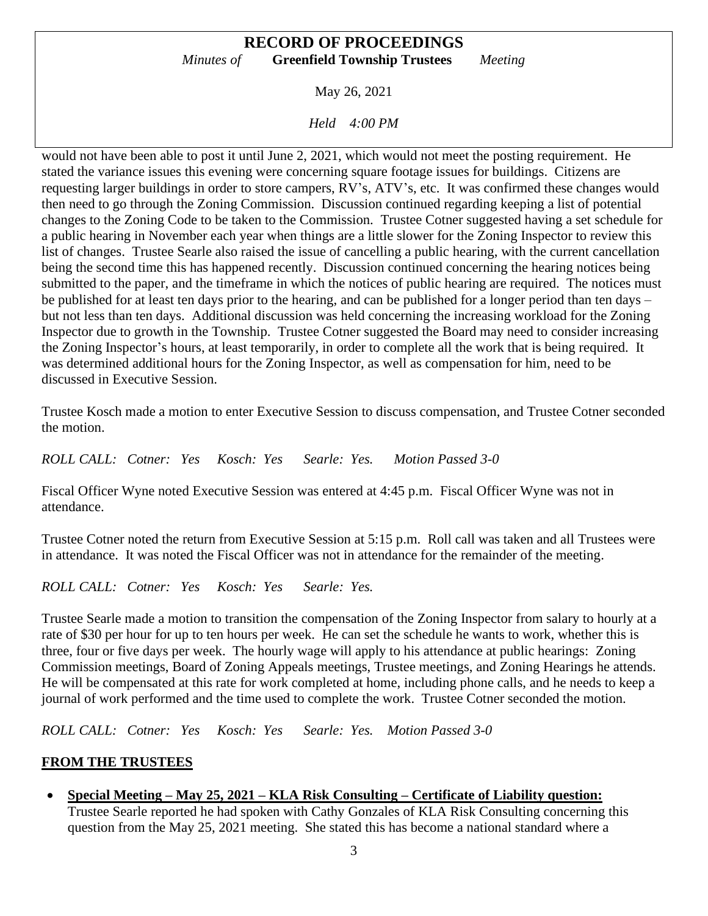#### **RECORD OF PROCEEDINGS** *Minutes of* **Greenfield Township Trustees** *Meeting*

May 26, 2021

*Held 4:00 PM*

would not have been able to post it until June 2, 2021, which would not meet the posting requirement. He stated the variance issues this evening were concerning square footage issues for buildings. Citizens are requesting larger buildings in order to store campers, RV's, ATV's, etc. It was confirmed these changes would then need to go through the Zoning Commission. Discussion continued regarding keeping a list of potential changes to the Zoning Code to be taken to the Commission. Trustee Cotner suggested having a set schedule for a public hearing in November each year when things are a little slower for the Zoning Inspector to review this list of changes. Trustee Searle also raised the issue of cancelling a public hearing, with the current cancellation being the second time this has happened recently. Discussion continued concerning the hearing notices being submitted to the paper, and the timeframe in which the notices of public hearing are required. The notices must be published for at least ten days prior to the hearing, and can be published for a longer period than ten days – but not less than ten days. Additional discussion was held concerning the increasing workload for the Zoning Inspector due to growth in the Township. Trustee Cotner suggested the Board may need to consider increasing the Zoning Inspector's hours, at least temporarily, in order to complete all the work that is being required. It was determined additional hours for the Zoning Inspector, as well as compensation for him, need to be discussed in Executive Session.

Trustee Kosch made a motion to enter Executive Session to discuss compensation, and Trustee Cotner seconded the motion.

*ROLL CALL: Cotner: Yes Kosch: Yes Searle: Yes. Motion Passed 3-0*

Fiscal Officer Wyne noted Executive Session was entered at 4:45 p.m. Fiscal Officer Wyne was not in attendance.

Trustee Cotner noted the return from Executive Session at 5:15 p.m. Roll call was taken and all Trustees were in attendance. It was noted the Fiscal Officer was not in attendance for the remainder of the meeting.

*ROLL CALL: Cotner: Yes Kosch: Yes Searle: Yes.* 

Trustee Searle made a motion to transition the compensation of the Zoning Inspector from salary to hourly at a rate of \$30 per hour for up to ten hours per week. He can set the schedule he wants to work, whether this is three, four or five days per week. The hourly wage will apply to his attendance at public hearings: Zoning Commission meetings, Board of Zoning Appeals meetings, Trustee meetings, and Zoning Hearings he attends. He will be compensated at this rate for work completed at home, including phone calls, and he needs to keep a journal of work performed and the time used to complete the work. Trustee Cotner seconded the motion.

*ROLL CALL: Cotner: Yes Kosch: Yes Searle: Yes. Motion Passed 3-0*

### **FROM THE TRUSTEES**

• **Special Meeting – May 25, 2021 – KLA Risk Consulting – Certificate of Liability question:** Trustee Searle reported he had spoken with Cathy Gonzales of KLA Risk Consulting concerning this question from the May 25, 2021 meeting. She stated this has become a national standard where a